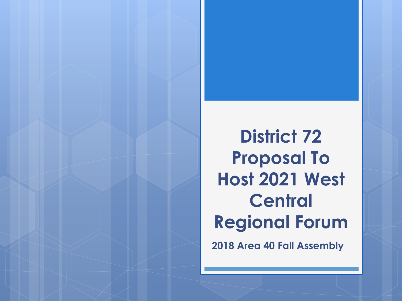**District 72 Proposal To Host 2021 West Central Regional Forum**

**2018 Area 40 Fall Assembly**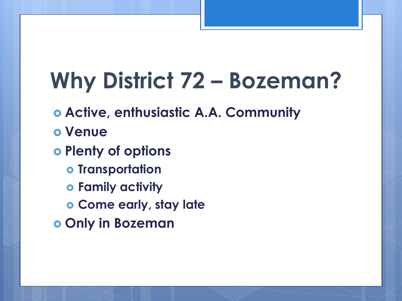# **Why District 72 – Bozeman?**

- **Active, enthusiastic A.A. Community**
- **Venue**
- **Plenty of options**
	- $o$  Transportation
	- **Family activity**
	- **Come early, stay late**
- **Only in Bozeman**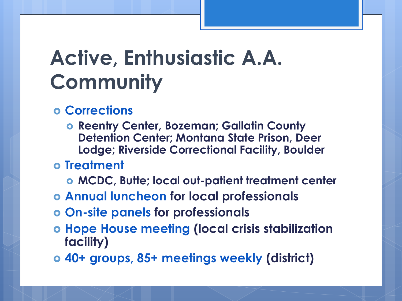# **Active, Enthusiastic A.A. Community**

- **Corrections**
	- **Reentry Center, Bozeman; Gallatin County Detention Center; Montana State Prison, Deer Lodge; Riverside Correctional Facility, Boulder**
- **Treatment**
	- **MCDC, Butte; local out-patient treatment center**
- **Annual luncheon for local professionals**
- **On-site panels for professionals**
- **Hope House meeting (local crisis stabilization facility)**
- **40+ groups, 85+ meetings weekly (district)**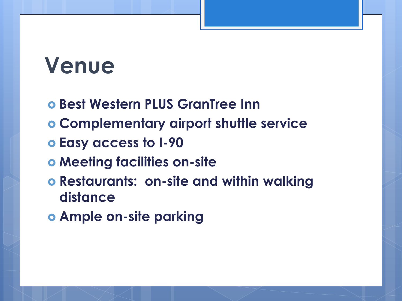# **Venue**

- **Best Western PLUS GranTree Inn**
- **Complementary airport shuttle service**
- **Easy access to I-90**
- **Meeting facilities on-site**
- **Restaurants: on-site and within walking distance**
- **Ample on-site parking**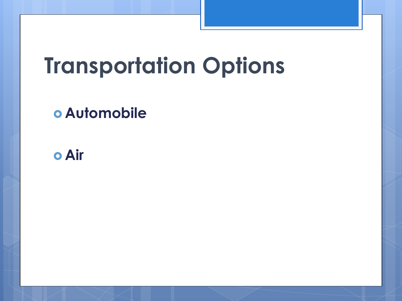# **Transportation Options**

### **Automobile**

#### **Air**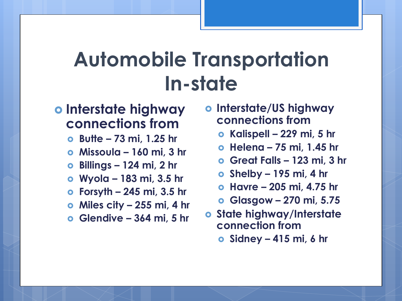## **Automobile Transportation In-state**

#### **Interstate highway connections from**

- **Butte – 73 mi, 1.25 hr**
- **Missoula – 160 mi, 3 hr**
- **Billings – 124 mi, 2 hr**
- **Wyola – 183 mi, 3.5 hr**
- **Forsyth – 245 mi, 3.5 hr**
- **Miles city – 255 mi, 4 hr**
- **Glendive – 364 mi, 5 hr**
- **Interstate/US highway connections from**
	- **Kalispell – 229 mi, 5 hr**
	- **Helena – 75 mi, 1.45 hr**
	- **Great Falls – 123 mi, 3 hr**
	- **Shelby – 195 mi, 4 hr**
	- **Havre – 205 mi, 4.75 hr**
	- **Glasgow – 270 mi, 5.75**
- **State highway/Interstate connection from**
	- **Sidney – 415 mi, 6 hr**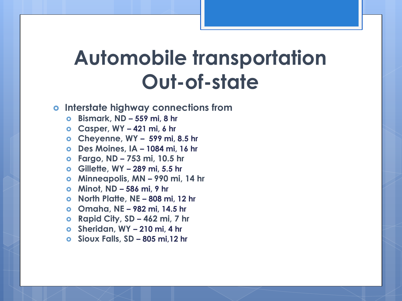## **Automobile transportation Out-of-state**

#### **Interstate highway connections from**

- **Bismark, ND – 559 mi, 8 hr**
- **Casper, WY – 421 mi, 6 hr**
- **Cheyenne, WY – 599 mi, 8.5 hr**
- **Des Moines, IA – 1084 mi, 16 hr**
- **Fargo, ND – 753 mi, 10.5 hr**
- **Gillette, WY – 289 mi, 5.5 hr**
- **Minneapolis, MN – 990 mi, 14 hr**
- **Minot, ND – 586 mi, 9 hr**
- **North Platte, NE – 808 mi, 12 hr**
- **Omaha, NE – 982 mi, 14.5 hr**
- **Rapid City, SD – 462 mi, 7 hr**
- **Sheridan, WY – 210 mi, 4 hr**
- **Sioux Falls, SD – 805 mi,12 hr**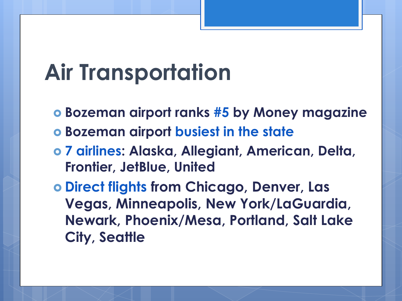# **Air Transportation**

- **Bozeman airport ranks #5 by Money magazine**
- **Bozeman airport busiest in the state**
- **7 airlines: Alaska, Allegiant, American, Delta, Frontier, JetBlue, United**
- **Direct flights from Chicago, Denver, Las Vegas, Minneapolis, New York/LaGuardia, Newark, Phoenix/Mesa, Portland, Salt Lake City, Seattle**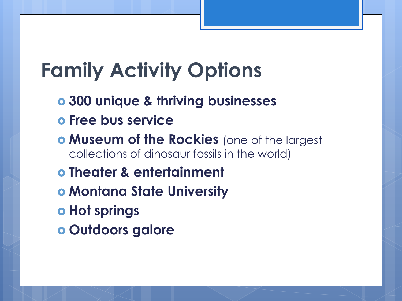# **Family Activity Options**

- **300 unique & thriving businesses**
- **Free bus service**
- **Museum of the Rockies** (one of the largest collections of dinosaur fossils in the world)
- **Theater & entertainment**
- **Montana State University**
- $\bullet$  **Hot springs**
- **Outdoors galore**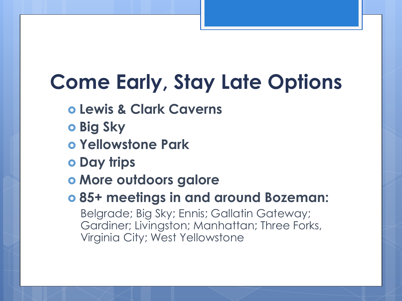# **Come Early, Stay Late Options**

- **Lewis & Clark Caverns**
- **b** Big Sky
- **Yellowstone Park**
- **Day trips**
- **More outdoors galore**
- **85+ meetings in and around Bozeman:**

Belgrade; Big Sky; Ennis; Gallatin Gateway; Gardiner; Livingston; Manhattan; Three Forks, Virginia City; West Yellowstone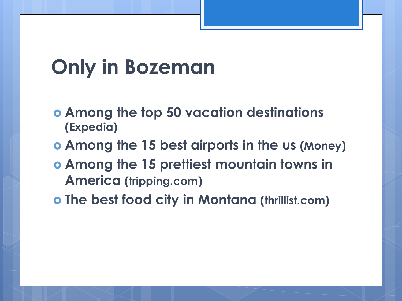## **Only in Bozeman**

- **Among the top 50 vacation destinations (Expedia)**
- **Among the 15 best airports in the us (Money)**
- **Among the 15 prettiest mountain towns in America (tripping.com)**
- **The best food city in Montana (thrillist.com)**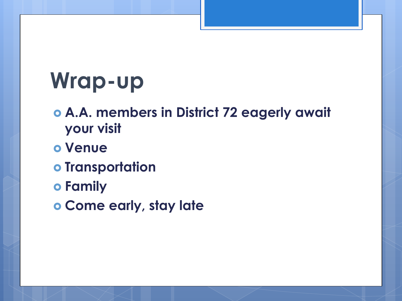# **Wrap-up**

- **A.A. members in District 72 eagerly await your visit**
- **Venue**
- **o** Transportation
- **Family**
- **Come early, stay late**